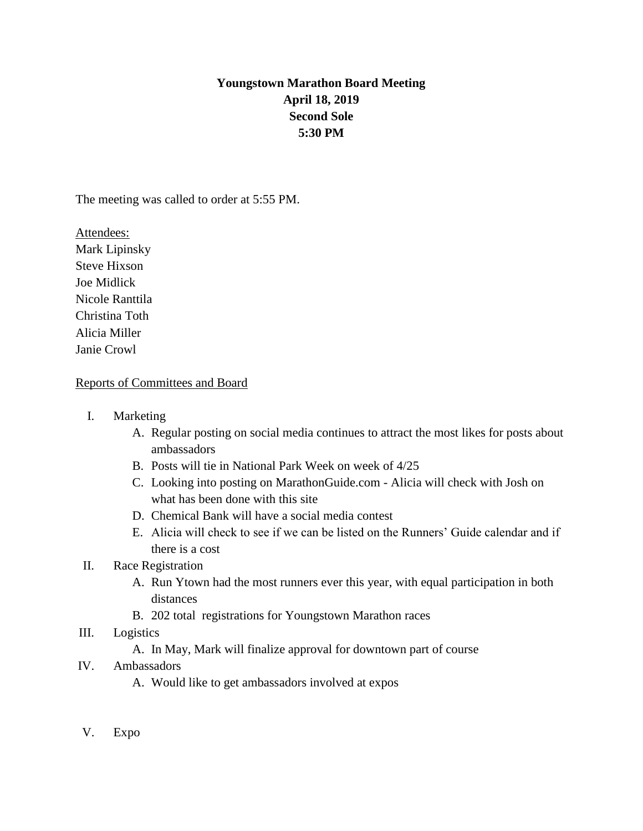# **Youngstown Marathon Board Meeting April 18, 2019 Second Sole 5:30 PM**

The meeting was called to order at 5:55 PM.

Attendees: Mark Lipinsky Steve Hixson Joe Midlick Nicole Ranttila Christina Toth Alicia Miller Janie Crowl

#### Reports of Committees and Board

- I. Marketing
	- A. Regular posting on social media continues to attract the most likes for posts about ambassadors
	- B. Posts will tie in National Park Week on week of 4/25
	- C. Looking into posting on MarathonGuide.com Alicia will check with Josh on what has been done with this site
	- D. Chemical Bank will have a social media contest
	- E. Alicia will check to see if we can be listed on the Runners' Guide calendar and if there is a cost

#### II. Race Registration

- A. Run Ytown had the most runners ever this year, with equal participation in both distances
- B. 202 total registrations for Youngstown Marathon races
- III. Logistics
	- A. In May, Mark will finalize approval for downtown part of course

## IV. Ambassadors

- A. Would like to get ambassadors involved at expos
- V. Expo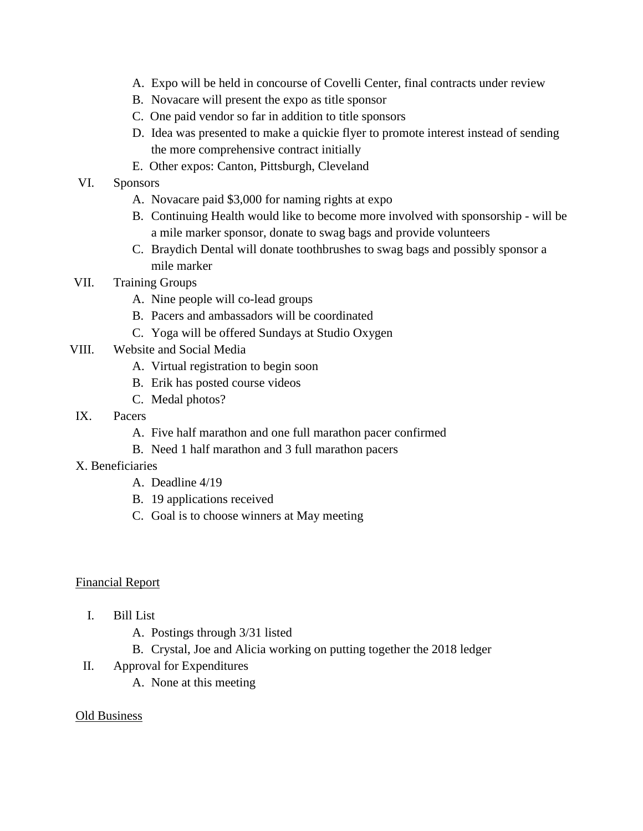- A. Expo will be held in concourse of Covelli Center, final contracts under review
- B. Novacare will present the expo as title sponsor
- C. One paid vendor so far in addition to title sponsors
- D. Idea was presented to make a quickie flyer to promote interest instead of sending the more comprehensive contract initially
- E. Other expos: Canton, Pittsburgh, Cleveland

### VI. Sponsors

- A. Novacare paid \$3,000 for naming rights at expo
- B. Continuing Health would like to become more involved with sponsorship will be a mile marker sponsor, donate to swag bags and provide volunteers
- C. Braydich Dental will donate toothbrushes to swag bags and possibly sponsor a mile marker
- VII. Training Groups
	- A. Nine people will co-lead groups
	- B. Pacers and ambassadors will be coordinated
	- C. Yoga will be offered Sundays at Studio Oxygen
- VIII. Website and Social Media
	- A. Virtual registration to begin soon
	- B. Erik has posted course videos
	- C. Medal photos?
- IX. Pacers
	- A. Five half marathon and one full marathon pacer confirmed
	- B. Need 1 half marathon and 3 full marathon pacers

#### X. Beneficiaries

- A. Deadline 4/19
- B. 19 applications received
- C. Goal is to choose winners at May meeting

#### Financial Report

- I. Bill List
	- A. Postings through 3/31 listed
	- B. Crystal, Joe and Alicia working on putting together the 2018 ledger
- II. Approval for Expenditures
	- A. None at this meeting

#### Old Business